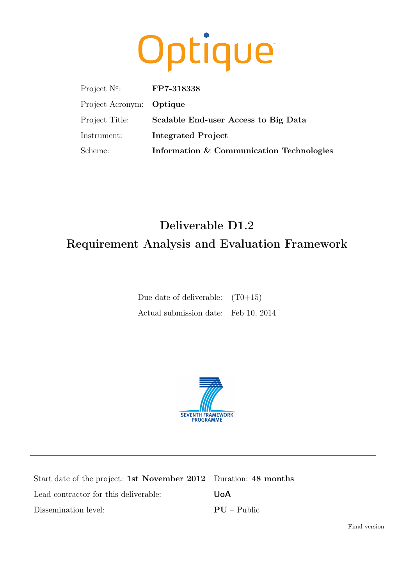# Optique

| Project $N^{\circ}$ :    | FP7-318338                               |
|--------------------------|------------------------------------------|
| Project Acronym: Optique |                                          |
| Project Title:           | Scalable End-user Access to Big Data     |
| Instrument:              | Integrated Project                       |
| Scheme:                  | Information & Communication Technologies |

# Deliverable D1.2 Requirement Analysis and Evaluation Framework

| Due date of deliverable: $(T0+15)$   |  |
|--------------------------------------|--|
| Actual submission date: Feb 10, 2014 |  |



| Start date of the project: 1st November 2012 Duration: 48 months |               |
|------------------------------------------------------------------|---------------|
| Lead contractor for this deliverable:                            | UoA           |
| Dissemination level:                                             | $PU - Public$ |

Final version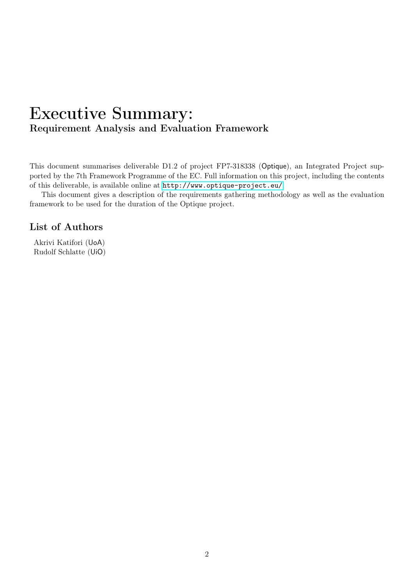### Executive Summary: Requirement Analysis and Evaluation Framework

This document summarises deliverable D1.2 of project FP7-318338 (Optique), an Integrated Project supported by the 7th Framework Programme of the EC. Full information on this project, including the contents of this deliverable, is available online at <http://www.optique-project.eu/>.

This document gives a description of the requirements gathering methodology as well as the evaluation framework to be used for the duration of the Optique project.

### List of Authors

Akrivi Katifori (UoA) Rudolf Schlatte (UiO)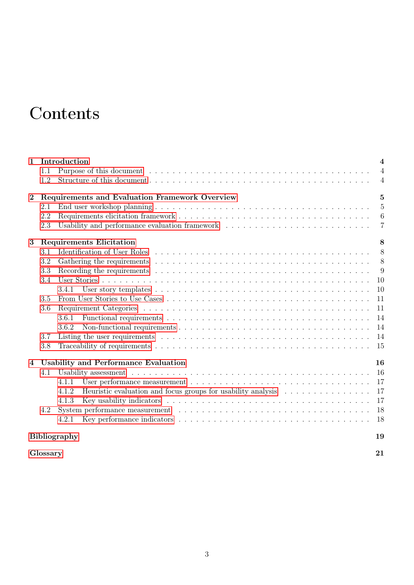# **Contents**

| $\mathbf{1}$ |          | Introduction                                                                                                               | $\overline{\mathbf{4}}$ |
|--------------|----------|----------------------------------------------------------------------------------------------------------------------------|-------------------------|
|              | 1.1      |                                                                                                                            | $\overline{4}$          |
|              | 1.2      |                                                                                                                            | $\overline{4}$          |
| $\bf{2}$     |          | Requirements and Evaluation Framework Overview                                                                             | $\overline{5}$          |
|              | 2.1      |                                                                                                                            | $\overline{5}$          |
|              | 2.2      |                                                                                                                            | 6                       |
|              | 2.3      | Usability and performance evaluation framework                                                                             | $\overline{7}$          |
| 3            |          | <b>Requirements Elicitation</b>                                                                                            | 8                       |
|              | 3.1      |                                                                                                                            | 8                       |
|              | 3.2      |                                                                                                                            | 8                       |
|              | 3.3      | Recording the requirements $\ldots \ldots \ldots \ldots \ldots \ldots \ldots \ldots \ldots \ldots \ldots \ldots \ldots$    | 9                       |
|              | 3.4      |                                                                                                                            | 10                      |
|              |          | 3.4.1                                                                                                                      | 10                      |
|              | 3.5      |                                                                                                                            | 11                      |
|              | 3.6      |                                                                                                                            | 11                      |
|              |          | 3.6.1                                                                                                                      | 14                      |
|              |          | Non-functional requirements $\dots \dots \dots \dots \dots \dots \dots \dots \dots \dots \dots \dots \dots \dots$<br>3.6.2 | 14                      |
|              | 3.7      |                                                                                                                            | 14                      |
|              | 3.8      |                                                                                                                            | -15                     |
| 4            |          | <b>Usability and Performance Evaluation</b>                                                                                | 16                      |
|              | 4.1      |                                                                                                                            | 16                      |
|              |          | 4.1.1                                                                                                                      | 17                      |
|              |          | Heuristic evaluation and focus groups for usability analysis<br>4.1.2                                                      | 17                      |
|              |          | 4.1.3                                                                                                                      | 17                      |
|              | 4.2      |                                                                                                                            | 18                      |
|              |          | 4.2.1                                                                                                                      | 18                      |
|              |          | <b>Bibliography</b>                                                                                                        | 19                      |
|              | Glossary |                                                                                                                            | 21                      |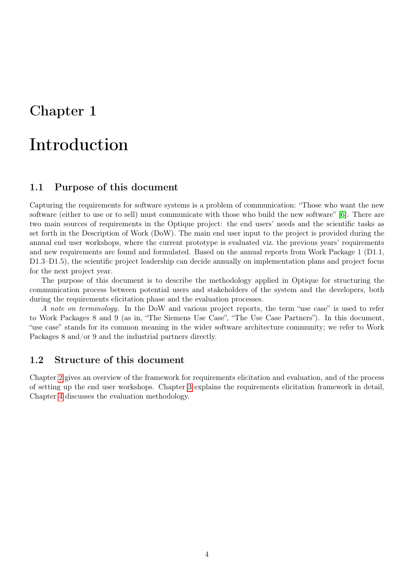# <span id="page-3-0"></span>Introduction

#### <span id="page-3-1"></span>1.1 Purpose of this document

Capturing the requirements for software systems is a problem of communication: "Those who want the new software (either to use or to sell) must communicate with those who build the new software" [\[6\]](#page-19-0). There are two main sources of requirements in the Optique project: the end users' needs and the scientific tasks as set forth in the Description of Work (DoW). The main end user input to the project is provided during the annual end user workshops, where the current prototype is evaluated viz. the previous years' requirements and new requirements are found and formulated. Based on the annual reports from Work Package 1 (D1.1, D1.3–D1.5), the scientific project leadership can decide annually on implementation plans and project focus for the next project year.

The purpose of this document is to describe the methodology applied in Optique for structuring the communication process between potential users and stakeholders of the system and the developers, both during the requirements elicitation phase and the evaluation processes.

A note on terminology. In the DoW and various project reports, the term "use case" is used to refer to Work Packages 8 and 9 (as in, "The Siemens Use Case", "The Use Case Partners"). In this document, "use case" stands for its common meaning in the wider software architecture community; we refer to Work Packages 8 and/or 9 and the industrial partners directly.

#### <span id="page-3-2"></span>1.2 Structure of this document

Chapter [2](#page-4-0) gives an overview of the framework for requirements elicitation and evaluation, and of the process of setting up the end user workshops. Chapter [3](#page-7-0) explains the requirements elicitation framework in detail, Chapter [4](#page-15-0) discusses the evaluation methodology.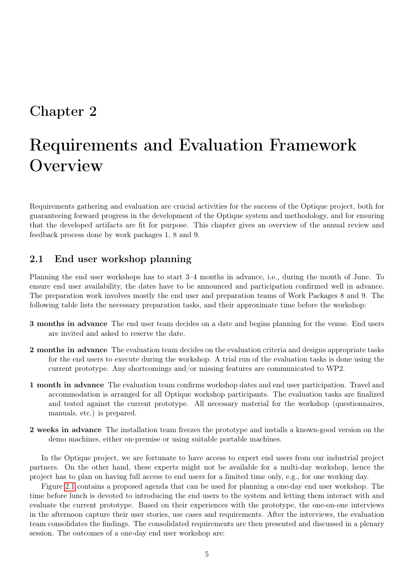# <span id="page-4-0"></span>Requirements and Evaluation Framework **Overview**

Requirements gathering and evaluation are crucial activities for the success of the Optique project, both for guaranteeing forward progress in the development of the Optique system and methodology, and for ensuring that the developed artifacts are fit for purpose. This chapter gives an overview of the annual review and feedback process done by work packages 1, 8 and 9.

#### <span id="page-4-1"></span>2.1 End user workshop planning

Planning the end user workshops has to start 3–4 months in advance, i.e., during the month of June. To ensure end user availability, the dates have to be announced and participation confirmed well in advance. The preparation work involves mostly the end user and preparation teams of Work Packages 8 and 9. The following table lists the necessary preparation tasks, and their approximate time before the workshop:

- 3 months in advance The end user team decides on a date and begins planning for the venue. End users are invited and asked to reserve the date.
- 2 months in advance The evaluation team decides on the evaluation criteria and designs appropriate tasks for the end users to execute during the workshop. A trial run of the evaluation tasks is done using the current prototype. Any shortcomings and/or missing features are communicated to WP2.
- 1 month in advance The evaluation team confirms workshop dates and end user participation. Travel and accommodation is arranged for all Optique workshop participants. The evaluation tasks are finalized and tested against the current prototype. All necessary material for the workshop (questionnaires, manuals, etc.) is prepared.
- 2 weeks in advance The installation team freezes the prototype and installs a known-good version on the demo machines, either on-premise or using suitable portable machines.

In the Optique project, we are fortunate to have access to expert end users from our industrial project partners. On the other hand, these experts might not be available for a multi-day workshop, hence the project has to plan on having full access to end users for a limited time only, e.g., for one working day.

Figure [2.1](#page-5-1) contains a proposed agenda that can be used for planning a one-day end user workshop. The time before lunch is devoted to introducing the end users to the system and letting them interact with and evaluate the current prototype. Based on their experiences with the prototype, the one-on-one interviews in the afternoon capture their user stories, use cases and requirements. After the interviews, the evaluation team consolidates the findings. The consolidated requirements are then presented and discussed in a plenary session. The outcomes of a one-day end user workshop are: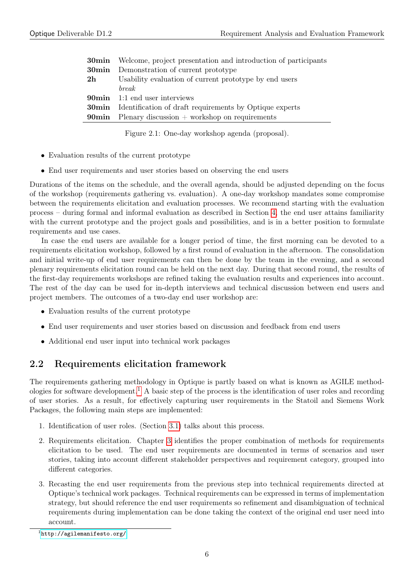|    | <b>30min</b> Welcome, project presentation and introduction of participants |
|----|-----------------------------------------------------------------------------|
|    | <b>30min</b> Demonstration of current prototype                             |
| 2h | Usability evaluation of current prototype by end users                      |
|    | <i>break</i>                                                                |
|    | <b>90min</b> 1:1 end user interviews                                        |
|    | <b>30min</b> Identification of draft requirements by Optique experts        |
|    | <b>90min</b> Plenary discussion $+$ workshop on requirements                |
|    |                                                                             |

<span id="page-5-1"></span>Figure 2.1: One-day workshop agenda (proposal).

- Evaluation results of the current prototype
- End user requirements and user stories based on observing the end users

Durations of the items on the schedule, and the overall agenda, should be adjusted depending on the focus of the workshop (requirements gathering vs. evaluation). A one-day workshop mandates some compromise between the requirements elicitation and evaluation processes. We recommend starting with the evaluation process – during formal and informal evaluation as described in Section [4,](#page-15-0) the end user attains familiarity with the current prototype and the project goals and possibilities, and is in a better position to formulate requirements and use cases.

In case the end users are available for a longer period of time, the first morning can be devoted to a requirements elicitation workshop, followed by a first round of evaluation in the afternoon. The consolidation and initial write-up of end user requirements can then be done by the team in the evening, and a second plenary requirements elicitation round can be held on the next day. During that second round, the results of the first-day requirements workshops are refined taking the evaluation results and experiences into account. The rest of the day can be used for in-depth interviews and technical discussion between end users and project members. The outcomes of a two-day end user workshop are:

- Evaluation results of the current prototype
- End user requirements and user stories based on discussion and feedback from end users
- Additional end user input into technical work packages

### <span id="page-5-0"></span>2.2 Requirements elicitation framework

The requirements gathering methodology in Optique is partly based on what is known as AGILE method-ologies for software development.<sup>[1](#page-5-2)</sup> A basic step of the process is the identification of user roles and recording of user stories. As a result, for effectively capturing user requirements in the Statoil and Siemens Work Packages, the following main steps are implemented:

- 1. Identification of user roles. (Section [3.1\)](#page-7-1) talks about this process.
- 2. Requirements elicitation. Chapter [3](#page-7-0) identifies the proper combination of methods for requirements elicitation to be used. The end user requirements are documented in terms of scenarios and user stories, taking into account different stakeholder perspectives and requirement category, grouped into different categories.
- 3. Recasting the end user requirements from the previous step into technical requirements directed at Optique's technical work packages. Technical requirements can be expressed in terms of implementation strategy, but should reference the end user requirements so refinement and disambiguation of technical requirements during implementation can be done taking the context of the original end user need into account.

<span id="page-5-2"></span><sup>1</sup> <http://agilemanifesto.org/>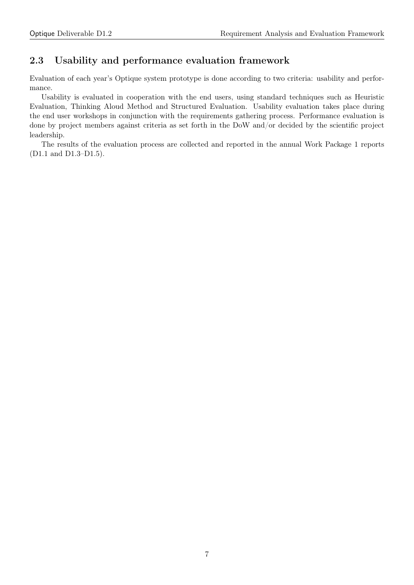### <span id="page-6-0"></span>2.3 Usability and performance evaluation framework

Evaluation of each year's Optique system prototype is done according to two criteria: usability and performance.

Usability is evaluated in cooperation with the end users, using standard techniques such as Heuristic Evaluation, Thinking Aloud Method and Structured Evaluation. Usability evaluation takes place during the end user workshops in conjunction with the requirements gathering process. Performance evaluation is done by project members against criteria as set forth in the DoW and/or decided by the scientific project leadership.

The results of the evaluation process are collected and reported in the annual Work Package 1 reports (D1.1 and D1.3–D1.5).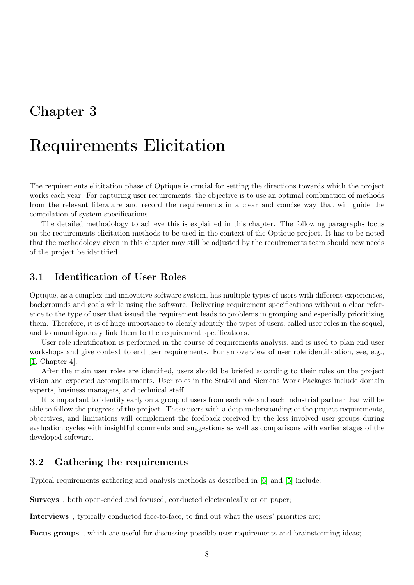# <span id="page-7-0"></span>Requirements Elicitation

The requirements elicitation phase of Optique is crucial for setting the directions towards which the project works each year. For capturing user requirements, the objective is to use an optimal combination of methods from the relevant literature and record the requirements in a clear and concise way that will guide the compilation of system specifications.

The detailed methodology to achieve this is explained in this chapter. The following paragraphs focus on the requirements elicitation methods to be used in the context of the Optique project. It has to be noted that the methodology given in this chapter may still be adjusted by the requirements team should new needs of the project be identified.

#### <span id="page-7-1"></span>3.1 Identification of User Roles

Optique, as a complex and innovative software system, has multiple types of users with different experiences, backgrounds and goals while using the software. Delivering requirement specifications without a clear reference to the type of user that issued the requirement leads to problems in grouping and especially prioritizing them. Therefore, it is of huge importance to clearly identify the types of users, called user roles in the sequel, and to unambiguously link them to the requirement specifications.

User role identification is performed in the course of requirements analysis, and is used to plan end user workshops and give context to end user requirements. For an overview of user role identification, see, e.g., [\[1,](#page-19-1) Chapter 4].

After the main user roles are identified, users should be briefed according to their roles on the project vision and expected accomplishments. User roles in the Statoil and Siemens Work Packages include domain experts, business managers, and technical staff.

It is important to identify early on a group of users from each role and each industrial partner that will be able to follow the progress of the project. These users with a deep understanding of the project requirements, objectives, and limitations will complement the feedback received by the less involved user groups during evaluation cycles with insightful comments and suggestions as well as comparisons with earlier stages of the developed software.

#### <span id="page-7-2"></span>3.2 Gathering the requirements

Typical requirements gathering and analysis methods as described in [\[6\]](#page-19-0) and [\[5\]](#page-19-2) include:

Surveys , both open-ended and focused, conducted electronically or on paper;

Interviews , typically conducted face-to-face, to find out what the users' priorities are;

Focus groups , which are useful for discussing possible user requirements and brainstorming ideas;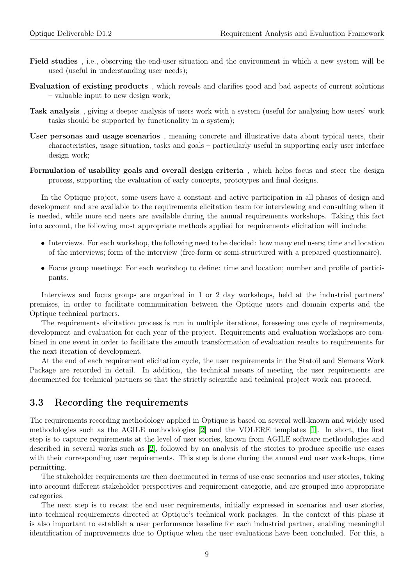- Field studies , i.e., observing the end-user situation and the environment in which a new system will be used (useful in understanding user needs);
- Evaluation of existing products , which reveals and clarifies good and bad aspects of current solutions – valuable input to new design work;
- Task analysis , giving a deeper analysis of users work with a system (useful for analysing how users' work tasks should be supported by functionality in a system);
- User personas and usage scenarios , meaning concrete and illustrative data about typical users, their characteristics, usage situation, tasks and goals – particularly useful in supporting early user interface design work;
- Formulation of usability goals and overall design criteria , which helps focus and steer the design process, supporting the evaluation of early concepts, prototypes and final designs.

In the Optique project, some users have a constant and active participation in all phases of design and development and are available to the requirements elicitation team for interviewing and consulting when it is needed, while more end users are available during the annual requirements workshops. Taking this fact into account, the following most appropriate methods applied for requirements elicitation will include:

- Interviews. For each workshop, the following need to be decided: how many end users; time and location of the interviews; form of the interview (free-form or semi-structured with a prepared questionnaire).
- Focus group meetings: For each workshop to define: time and location; number and profile of participants.

Interviews and focus groups are organized in 1 or 2 day workshops, held at the industrial partners' premises, in order to facilitate communication between the Optique users and domain experts and the Optique technical partners.

The requirements elicitation process is run in multiple iterations, foreseeing one cycle of requirements, development and evaluation for each year of the project. Requirements and evaluation workshops are combined in one event in order to facilitate the smooth transformation of evaluation results to requirements for the next iteration of development.

At the end of each requirement elicitation cycle, the user requirements in the Statoil and Siemens Work Package are recorded in detail. In addition, the technical means of meeting the user requirements are documented for technical partners so that the strictly scientific and technical project work can proceed.

#### <span id="page-8-0"></span>3.3 Recording the requirements

The requirements recording methodology applied in Optique is based on several well-known and widely used methodologies such as the AGILE methodologies [\[2\]](#page-19-3) and the VOLERE templates [\[1\]](#page-19-1). In short, the first step is to capture requirements at the level of user stories, known from AGILE software methodologies and described in several works such as [\[2\]](#page-19-3), followed by an analysis of the stories to produce specific use cases with their corresponding user requirements. This step is done during the annual end user workshops, time permitting.

The stakeholder requirements are then documented in terms of use case scenarios and user stories, taking into account different stakeholder perspectives and requirement categorie, and are grouped into appropriate categories.

The next step is to recast the end user requirements, initially expressed in scenarios and user stories, into technical requirements directed at Optique's technical work packages. In the context of this phase it is also important to establish a user performance baseline for each industrial partner, enabling meaningful identification of improvements due to Optique when the user evaluations have been concluded. For this, a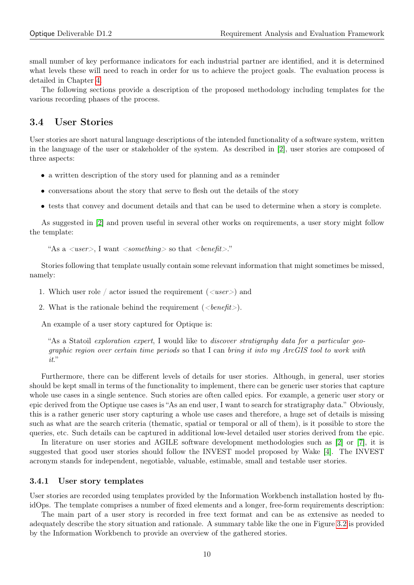small number of key performance indicators for each industrial partner are identified, and it is determined what levels these will need to reach in order for us to achieve the project goals. The evaluation process is detailed in Chapter [4.](#page-15-0)

The following sections provide a description of the proposed methodology including templates for the various recording phases of the process.

#### <span id="page-9-0"></span>3.4 User Stories

User stories are short natural language descriptions of the intended functionality of a software system, written in the language of the user or stakeholder of the system. As described in [\[2\]](#page-19-3), user stories are composed of three aspects:

- a written description of the story used for planning and as a reminder
- conversations about the story that serve to flesh out the details of the story
- tests that convey and document details and that can be used to determine when a story is complete.

As suggested in [\[2\]](#page-19-3) and proven useful in several other works on requirements, a user story might follow the template:

```
"As a \langleuser\rangle, I want \langlesomething\rangle so that \langlebenefit\rangle."
```
Stories following that template usually contain some relevant information that might sometimes be missed, namely:

- 1. Which user role / actor issued the requirement  $(\langle user \rangle)$  and
- 2. What is the rationale behind the requirement  $(\langle \text{length} \rangle)$ .

An example of a user story captured for Optique is:

"As a Statoil exploration expert, I would like to discover stratigraphy data for a particular geographic region over certain time periods so that I can bring it into my ArcGIS tool to work with it."

Furthermore, there can be different levels of details for user stories. Although, in general, user stories should be kept small in terms of the functionality to implement, there can be generic user stories that capture whole use cases in a single sentence. Such stories are often called epics. For example, a generic user story or epic derived from the Optique use cases is "As an end user, I want to search for stratigraphy data." Obviously, this is a rather generic user story capturing a whole use cases and therefore, a huge set of details is missing such as what are the search criteria (thematic, spatial or temporal or all of them), is it possible to store the queries, etc. Such details can be captured in additional low-level detailed user stories derived from the epic.

In literature on user stories and AGILE software development methodologies such as [\[2\]](#page-19-3) or [\[7\]](#page-19-4), it is suggested that good user stories should follow the INVEST model proposed by Wake [\[4\]](#page-19-5). The INVEST acronym stands for independent, negotiable, valuable, estimable, small and testable user stories.

#### <span id="page-9-1"></span>3.4.1 User story templates

User stories are recorded using templates provided by the Information Workbench installation hosted by fluidOps. The template comprises a number of fixed elements and a longer, free-form requirements description:

The main part of a user story is recorded in free text format and can be as extensive as needed to adequately describe the story situation and rationale. A summary table like the one in Figure [3.2](#page-10-2) is provided by the Information Workbench to provide an overview of the gathered stories.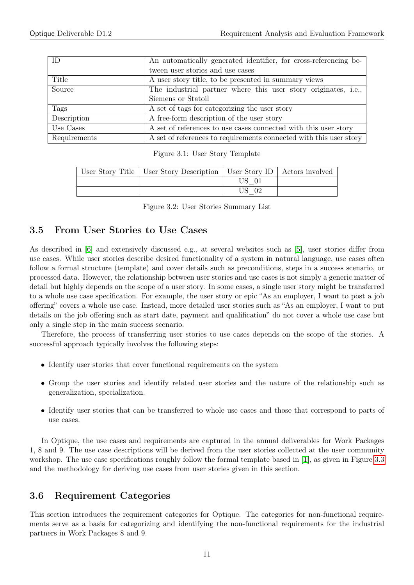| ID           | An automatically generated identifier, for cross-referencing be-   |
|--------------|--------------------------------------------------------------------|
|              | tween user stories and use cases                                   |
| Title        | A user story title, to be presented in summary views               |
| Source       | The industrial partner where this user story originates, i.e.,     |
|              | Siemens or Statoil                                                 |
| Tags         | A set of tags for categorizing the user story                      |
| Description  | A free-form description of the user story                          |
| Use Cases    | A set of references to use cases connected with this user story    |
| Requirements | A set of references to requirements connected with this user story |

|  |  |  |  |  | Figure 3.1: User Story Template |
|--|--|--|--|--|---------------------------------|
|--|--|--|--|--|---------------------------------|

| User Story Title   User Story Description   User Story ID   Actors involved |         |  |
|-----------------------------------------------------------------------------|---------|--|
|                                                                             |         |  |
|                                                                             | $US$ 02 |  |

<span id="page-10-2"></span>

|  |  |  | Figure 3.2: User Stories Summary List |  |
|--|--|--|---------------------------------------|--|
|--|--|--|---------------------------------------|--|

#### <span id="page-10-0"></span>3.5 From User Stories to Use Cases

As described in [\[6\]](#page-19-0) and extensively discussed e.g., at several websites such as [\[5\]](#page-19-2), user stories differ from use cases. While user stories describe desired functionality of a system in natural language, use cases often follow a formal structure (template) and cover details such as preconditions, steps in a success scenario, or processed data. However, the relationship between user stories and use cases is not simply a generic matter of detail but highly depends on the scope of a user story. In some cases, a single user story might be transferred to a whole use case specification. For example, the user story or epic "As an employer, I want to post a job offering" covers a whole use case. Instead, more detailed user stories such as "As an employer, I want to put details on the job offering such as start date, payment and qualification" do not cover a whole use case but only a single step in the main success scenario.

Therefore, the process of transferring user stories to use cases depends on the scope of the stories. A successful approach typically involves the following steps:

- Identify user stories that cover functional requirements on the system
- Group the user stories and identify related user stories and the nature of the relationship such as generalization, specialization.
- Identify user stories that can be transferred to whole use cases and those that correspond to parts of use cases.

In Optique, the use cases and requirements are captured in the annual deliverables for Work Packages 1, 8 and 9. The use case descriptions will be derived from the user stories collected at the user community workshop. The use case specifications roughly follow the formal template based in [\[1\]](#page-19-1), as given in Figure [3.3](#page-11-0) and the methodology for deriving use cases from user stories given in this section.

#### <span id="page-10-1"></span>3.6 Requirement Categories

This section introduces the requirement categories for Optique. The categories for non-functional requirements serve as a basis for categorizing and identifying the non-functional requirements for the industrial partners in Work Packages 8 and 9.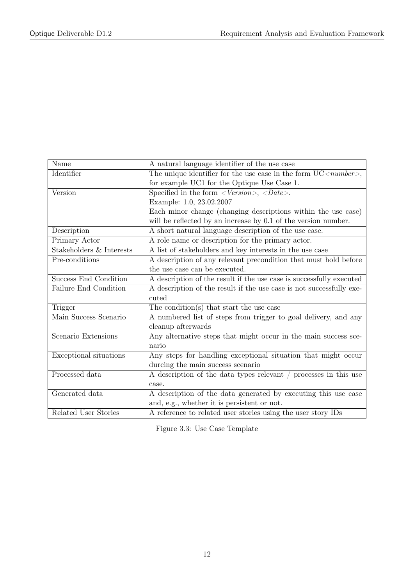| Name                     | A natural language identifier of the use case                              |  |  |
|--------------------------|----------------------------------------------------------------------------|--|--|
| Identifier               | The unique identifier for the use case in the form $UC \leq number \geq$ , |  |  |
|                          | for example UC1 for the Optique Use Case 1.                                |  |  |
| Version                  | Specified in the form $\langle Version \rangle$ , $\langle Date \rangle$ . |  |  |
|                          | Example: 1.0, 23.02.2007                                                   |  |  |
|                          | Each minor change (changing descriptions within the use case)              |  |  |
|                          | will be reflected by an increase by 0.1 of the version number.             |  |  |
| Description              | A short natural language description of the use case.                      |  |  |
| Primary Actor            | A role name or description for the primary actor.                          |  |  |
| Stakeholders & Interests | A list of stakeholders and key interests in the use case                   |  |  |
| Pre-conditions           | A description of any relevant precondition that must hold before           |  |  |
|                          | the use case can be executed.                                              |  |  |
| Success End Condition    | A description of the result if the use case is successfully executed       |  |  |
| Failure End Condition    | A description of the result if the use case is not successfully exe-       |  |  |
|                          | cuted                                                                      |  |  |
| Trigger                  | The condition(s) that start the use case                                   |  |  |
| Main Success Scenario    | A numbered list of steps from trigger to goal delivery, and any            |  |  |
|                          | cleanup afterwards                                                         |  |  |
| Scenario Extensions      | Any alternative steps that might occur in the main success sce-            |  |  |
|                          | nario                                                                      |  |  |
| Exceptional situations   | Any steps for handling exceptional situation that might occur              |  |  |
|                          | durcing the main success scenario                                          |  |  |
| Processed data           | A description of the data types relevant / processes in this use           |  |  |
|                          | case.                                                                      |  |  |
| Generated data           | A description of the data generated by executing this use case             |  |  |
|                          | and, e.g., whether it is persistent or not.                                |  |  |
| Related User Stories     | A reference to related user stories using the user story IDs               |  |  |

<span id="page-11-0"></span>Figure 3.3: Use Case Template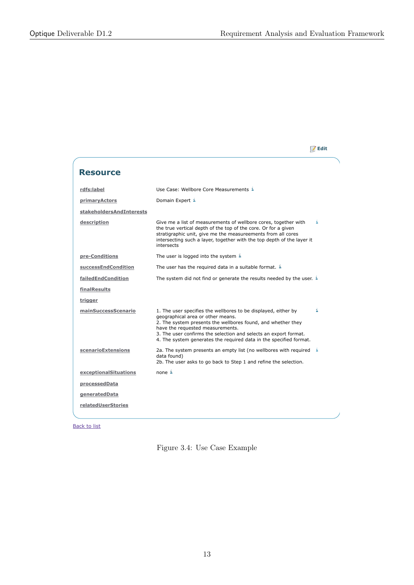**Edit**

**Resource rdfs:label** Use Case: Wellbore Core Measurements **primaryActors** Domain Expert i **stakeholdersAndInterests** description **Give me a list of measurements of wellbore cores, together with** i the true vertical depth of the top of the core. Or for a given stratigraphic unit, give me the measureements from all cores intersecting such a layer, together with the top depth of the layer it intersects **pre-Conditions** The user is logged into the system **successEndCondition** The user has the required data in a suitable format. **failedEndCondition** The system did not find or generate the results needed by the user. i **finalResults trigger mainSuccessScenario** 1. The user specifies the wellbores to be displayed, either by i geographical area or other means. 2. The system presents the wellbores found, and whether they have the requested measurements. 3. The user confirms the selection and selects an export format. 4. The system generates the required data in the specified format. **scenarioExtensions** 2a. The system presents an empty list (no wellbores with required data found) 2b. The user asks to go back to Step 1 and refine the selection. **exceptionalSituations** none i **processedData generatedData relatedUserStories**

Back to list

Figure 3.4: Use Case Example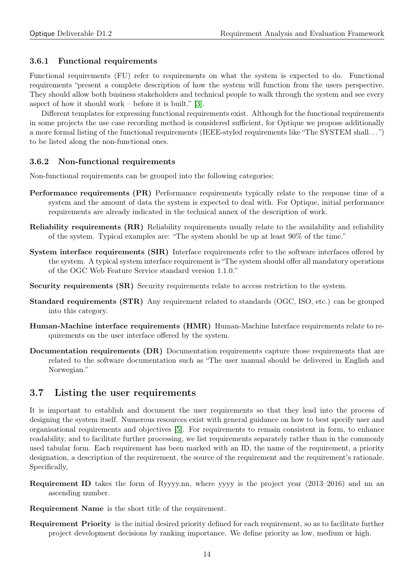#### <span id="page-13-0"></span>3.6.1 Functional requirements

Functional requirements (FU) refer to requirements on what the system is expected to do. Functional requirements "present a complete description of how the system will function from the users perspective. They should allow both business stakeholders and technical people to walk through the system and see every aspect of how it should work – before it is built." [\[3\]](#page-19-6).

Different templates for expressing functional requirements exist. Although for the functional requirements in some projects the use case recording method is considered sufficient, for Optique we propose additionally a more formal listing of the functional requirements (IEEE-styled requirements like "The SYSTEM shall. . . ") to be listed along the non-functional ones.

#### <span id="page-13-1"></span>3.6.2 Non-functional requirements

Non-functional requirements can be grouped into the following categories:

- Performance requirements (PR) Performance requirements typically relate to the response time of a system and the amount of data the system is expected to deal with. For Optique, initial performance requirements are already indicated in the technical annex of the description of work.
- Reliability requirements (RR) Reliability requirements usually relate to the availability and reliability of the system. Typical examples are: "The system should be up at least 90% of the time."
- System interface requirements (SIR) Interface requirements refer to the software interfaces offered by the system. A typical system interface requirement is "The system should offer all mandatory operations of the OGC Web Feature Service standard version 1.1.0."
- Security requirements (SR) Security requirements relate to access restriction to the system.
- Standard requirements (STR) Any requirement related to standards (OGC, ISO, etc.) can be grouped into this category.
- Human-Machine interface requirements (HMR) Human-Machine Interface requirements relate to requirements on the user interface offered by the system.
- Documentation requirements (DR) Documentation requirements capture those requirements that are related to the software documentation such as "The user manual should be delivered in English and Norwegian."

#### <span id="page-13-2"></span>3.7 Listing the user requirements

It is important to establish and document the user requirements so that they lead into the process of designing the system itself. Numerous resources exist with general guidance on how to best specify user and organisational requirements and objectives [\[5\]](#page-19-2). For requirements to remain consistent in form, to enhance readability, and to facilitate further processing, we list requirements separately rather than in the commonly used tabular form. Each requirement has been marked with an ID, the name of the requirement, a priority designation, a description of the requirement, the source of the requirement and the requirement's rationale. Specifically,

- Requirement ID takes the form of Ryyyy.nn, where yyyy is the project year (2013–2016) and nn an ascending number.
- Requirement Name is the short title of the requirement.
- Requirement Priority is the initial desired priority defined for each requirement, so as to facilitate further project development decisions by ranking importance. We define priority as low, medium or high.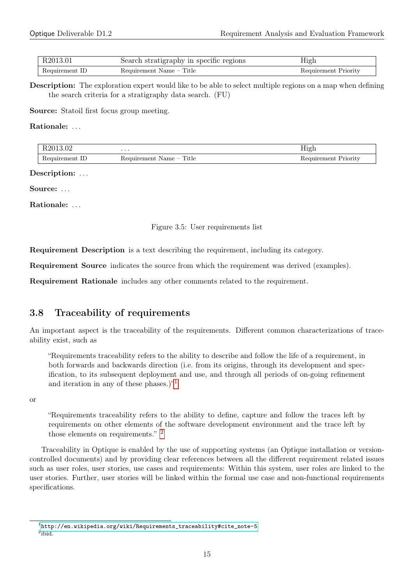| R2013.01       | Search stratigraphy in specific regions | Hıgh                 |
|----------------|-----------------------------------------|----------------------|
| Requirement ID | Requirement Name – Title                | Requirement Priority |

Description: The exploration expert would like to be able to select multiple regions on a map when defining the search criteria for a stratigraphy data search. (FU)

Source: Statoil first focus group meeting.

Rationale: ...

| D <sub>201</sub><br>R2013.02 | $\cdots$                                                                         | <b>TT</b><br>High<br>— ပ       |
|------------------------------|----------------------------------------------------------------------------------|--------------------------------|
| kequirement.<br>1 v          | Title<br>Requirement<br>Name<br><b>Contract Contract Contract</b><br>$- - - - -$ | . .<br>Priority<br>Requirement |

Description: ...

Source: ...

Rationale: ...

| Figure 3.5: User requirements list |  |  |  |  |  |
|------------------------------------|--|--|--|--|--|
|------------------------------------|--|--|--|--|--|

Requirement Description is a text describing the requirement, including its category.

Requirement Source indicates the source from which the requirement was derived (examples).

Requirement Rationale includes any other comments related to the requirement.

#### <span id="page-14-0"></span>3.8 Traceability of requirements

An important aspect is the traceability of the requirements. Different common characterizations of traceability exist, such as

"Requirements traceability refers to the ability to describe and follow the life of a requirement, in both forwards and backwards direction (i.e. from its origins, through its development and specification, to its subsequent deployment and use, and through all periods of on-going refinement and iteration in any of these phases.)"[1](#page-14-1)

or

"Requirements traceability refers to the ability to define, capture and follow the traces left by requirements on other elements of the software development environment and the trace left by those elements on requirements." [2](#page-14-2)

Traceability in Optique is enabled by the use of supporting systems (an Optique installation or versioncontrolled documents) and by providing clear references between all the different requirement related issues such as user roles, user stories, use cases and requirements: Within this system, user roles are linked to the user stories. Further, user stories will be linked within the formal use case and non-functional requirements specifications.

<span id="page-14-1"></span> $^{\rm 1}$ [http://en.wikipedia.org/wiki/Requirements\\_traceability#cite\\_note-5]( http://en.wikipedia.org/wiki/Requirements_traceability#cite_note-5)

<span id="page-14-2"></span><sup>&</sup>lt;sup>2</sup>ibid.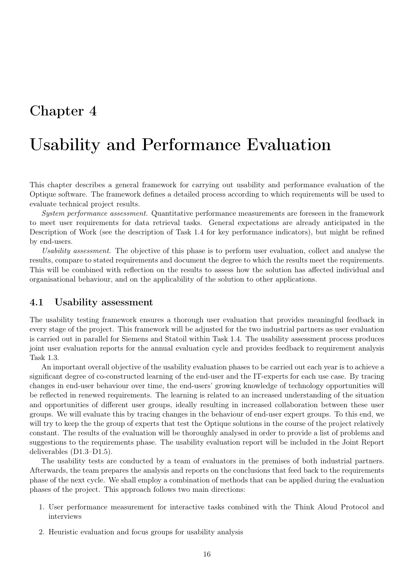# <span id="page-15-0"></span>Usability and Performance Evaluation

This chapter describes a general framework for carrying out usability and performance evaluation of the Optique software. The framework defines a detailed process according to which requirements will be used to evaluate technical project results.

System performance assessment. Quantitative performance measurements are foreseen in the framework to meet user requirements for data retrieval tasks. General expectations are already anticipated in the Description of Work (see the description of Task 1.4 for key performance indicators), but might be refined by end-users.

Usability assessment. The objective of this phase is to perform user evaluation, collect and analyse the results, compare to stated requirements and document the degree to which the results meet the requirements. This will be combined with reflection on the results to assess how the solution has affected individual and organisational behaviour, and on the applicability of the solution to other applications.

#### <span id="page-15-1"></span>4.1 Usability assessment

The usability testing framework ensures a thorough user evaluation that provides meaningful feedback in every stage of the project. This framework will be adjusted for the two industrial partners as user evaluation is carried out in parallel for Siemens and Statoil within Task 1.4. The usability assessment process produces joint user evaluation reports for the annual evaluation cycle and provides feedback to requirement analysis Task 1.3.

An important overall objective of the usability evaluation phases to be carried out each year is to achieve a significant degree of co-constructed learning of the end-user and the IT-experts for each use case. By tracing changes in end-user behaviour over time, the end-users' growing knowledge of technology opportunities will be reflected in renewed requirements. The learning is related to an increased understanding of the situation and opportunities of different user groups, ideally resulting in increased collaboration between these user groups. We will evaluate this by tracing changes in the behaviour of end-user expert groups. To this end, we will try to keep the the group of experts that test the Optique solutions in the course of the project relatively constant. The results of the evaluation will be thoroughly analysed in order to provide a list of problems and suggestions to the requirements phase. The usability evaluation report will be included in the Joint Report deliverables (D1.3–D1.5).

The usability tests are conducted by a team of evaluators in the premises of both industrial partners. Afterwards, the team prepares the analysis and reports on the conclusions that feed back to the requirements phase of the next cycle. We shall employ a combination of methods that can be applied during the evaluation phases of the project. This approach follows two main directions:

- 1. User performance measurement for interactive tasks combined with the Think Aloud Protocol and interviews
- 2. Heuristic evaluation and focus groups for usability analysis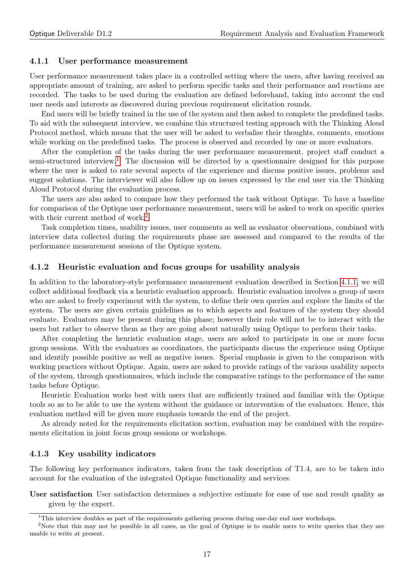#### <span id="page-16-0"></span>4.1.1 User performance measurement

User performance measurement takes place in a controlled setting where the users, after having received an appropriate amount of training, are asked to perform specific tasks and their performance and reactions are recorded. The tasks to be used during the evaluation are defined beforehand, taking into account the end user needs and interests as discovered during previous requirement elicitation rounds.

End users will be briefly trained in the use of the system and then asked to complete the predefined tasks. To aid with the subsequent interview, we combine this structured testing approach with the Thinking Aloud Protocol method, which means that the user will be asked to verbalise their thoughts, comments, emotions while working on the predefined tasks. The process is observed and recorded by one or more evaluators.

After the completion of the tasks during the user performance measurement, project staff conduct a semi-structured interview.<sup>[1](#page-16-3)</sup> The discussion will be directed by a questionnaire designed for this purpose where the user is asked to rate several aspects of the experience and discuss positive issues, problems and suggest solutions. The interviewer will also follow up on issues expressed by the end user via the Thinking Aloud Protocol during the evaluation process.

The users are also asked to compare how they performed the task without Optique. To have a baseline for comparison of the Optique user performance measurement, users will be asked to work on specific queries with their current method of work.<sup>[2](#page-16-4)</sup>

Task completion times, usability issues, user comments as well as evaluator observations, combined with interview data collected during the requirements phase are assessed and compared to the results of the performance measurement sessions of the Optique system.

#### <span id="page-16-1"></span>4.1.2 Heuristic evaluation and focus groups for usability analysis

In addition to the laboratory-style performance measurement evaluation described in Section [4.1.1,](#page-16-0) we will collect additional feedback via a heuristic evaluation approach. Heuristic evaluation involves a group of users who are asked to freely experiment with the system, to define their own queries and explore the limits of the system. The users are given certain guidelines as to which aspects and features of the system they should evaluate. Evaluators may be present during this phase; however their role will not be to interact with the users but rather to observe them as they are going about naturally using Optique to perform their tasks.

After completing the heuristic evaluation stage, users are asked to participate in one or more focus group sessions. With the evaluators as coordinators, the participants discuss the experience using Optique and identify possible positive as well as negative issues. Special emphasis is given to the comparison with working practices without Optique. Again, users are asked to provide ratings of the various usability aspects of the system, through questionnaires, which include the comparative ratings to the performance of the same tasks before Optique.

Heuristic Evaluation works best with users that are sufficiently trained and familiar with the Optique tools so as to be able to use the system without the guidance or intervention of the evaluators. Hence, this evaluation method will be given more emphasis towards the end of the project.

As already noted for the requirements elicitation section, evaluation may be combined with the requirements elicitation in joint focus group sessions or workshops.

#### <span id="page-16-2"></span>4.1.3 Key usability indicators

The following key performance indicators, taken from the task description of T1.4, are to be taken into account for the evaluation of the integrated Optique functionality and services:

User satisfaction User satisfaction determines a subjective estimate for ease of use and result quality as given by the expert.

<span id="page-16-4"></span><span id="page-16-3"></span> $1$ This interview doubles as part of the requirements gathering process during one-day end user workshops.

<sup>&</sup>lt;sup>2</sup>Note that this may not be possible in all cases, as the goal of Optique is to enable users to write queries that they are unable to write at present.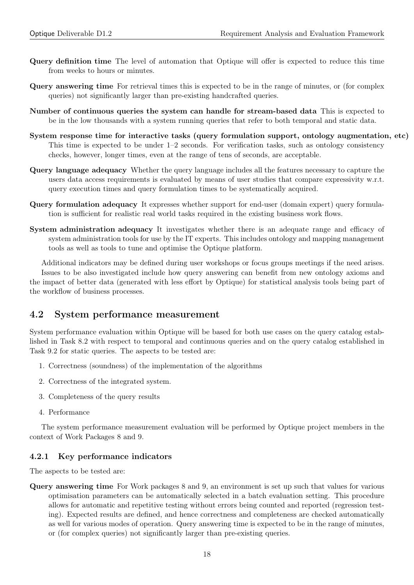- Query definition time The level of automation that Optique will offer is expected to reduce this time from weeks to hours or minutes.
- Query answering time For retrieval times this is expected to be in the range of minutes, or (for complex queries) not significantly larger than pre-existing handcrafted queries.
- Number of continuous queries the system can handle for stream-based data This is expected to be in the low thousands with a system running queries that refer to both temporal and static data.
- System response time for interactive tasks (query formulation support, ontology augmentation, etc) This time is expected to be under 1–2 seconds. For verification tasks, such as ontology consistency checks, however, longer times, even at the range of tens of seconds, are acceptable.
- Query language adequacy Whether the query language includes all the features necessary to capture the users data access requirements is evaluated by means of user studies that compare expressivity w.r.t. query execution times and query formulation times to be systematically acquired.
- Query formulation adequacy It expresses whether support for end-user (domain expert) query formulation is sufficient for realistic real world tasks required in the existing business work flows.
- System administration adequacy It investigates whether there is an adequate range and efficacy of system administration tools for use by the IT experts. This includes ontology and mapping management tools as well as tools to tune and optimise the Optique platform.

Additional indicators may be defined during user workshops or focus groups meetings if the need arises. Issues to be also investigated include how query answering can benefit from new ontology axioms and the impact of better data (generated with less effort by Optique) for statistical analysis tools being part of the workflow of business processes.

#### <span id="page-17-0"></span>4.2 System performance measurement

System performance evaluation within Optique will be based for both use cases on the query catalog established in Task 8.2 with respect to temporal and continuous queries and on the query catalog established in Task 9.2 for static queries. The aspects to be tested are:

- 1. Correctness (soundness) of the implementation of the algorithms
- 2. Correctness of the integrated system.
- 3. Completeness of the query results
- 4. Performance

The system performance measurement evaluation will be performed by Optique project members in the context of Work Packages 8 and 9.

#### <span id="page-17-1"></span>4.2.1 Key performance indicators

The aspects to be tested are:

Query answering time For Work packages 8 and 9, an environment is set up such that values for various optimisation parameters can be automatically selected in a batch evaluation setting. This procedure allows for automatic and repetitive testing without errors being counted and reported (regression testing). Expected results are defined, and hence correctness and completeness are checked automatically as well for various modes of operation. Query answering time is expected to be in the range of minutes, or (for complex queries) not significantly larger than pre-existing queries.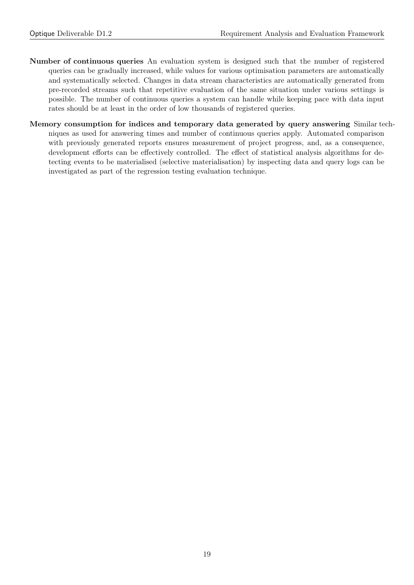- Number of continuous queries An evaluation system is designed such that the number of registered queries can be gradually increased, while values for various optimisation parameters are automatically and systematically selected. Changes in data stream characteristics are automatically generated from pre-recorded streams such that repetitive evaluation of the same situation under various settings is possible. The number of continuous queries a system can handle while keeping pace with data input rates should be at least in the order of low thousands of registered queries.
- Memory consumption for indices and temporary data generated by query answering Similar techniques as used for answering times and number of continuous queries apply. Automated comparison with previously generated reports ensures measurement of project progress, and, as a consequence, development efforts can be effectively controlled. The effect of statistical analysis algorithms for detecting events to be materialised (selective materialisation) by inspecting data and query logs can be investigated as part of the regression testing evaluation technique.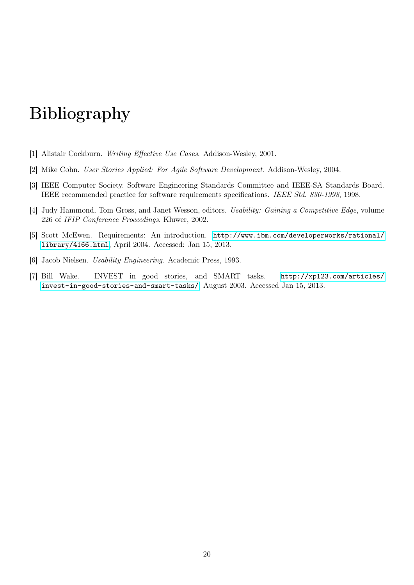# Bibliography

- <span id="page-19-1"></span>[1] Alistair Cockburn. Writing Effective Use Cases. Addison-Wesley, 2001.
- <span id="page-19-3"></span>[2] Mike Cohn. User Stories Applied: For Agile Software Development. Addison-Wesley, 2004.
- <span id="page-19-6"></span>[3] IEEE Computer Society. Software Engineering Standards Committee and IEEE-SA Standards Board. IEEE recommended practice for software requirements specifications. IEEE Std. 830-1998, 1998.
- <span id="page-19-5"></span>[4] Judy Hammond, Tom Gross, and Janet Wesson, editors. Usability: Gaining a Competitive Edge, volume 226 of IFIP Conference Proceedings. Kluwer, 2002.
- <span id="page-19-2"></span>[5] Scott McEwen. Requirements: An introduction. [http://www.ibm.com/developerworks/rational/](http://www.ibm.com/developerworks/rational/library/4166.html) [library/4166.html](http://www.ibm.com/developerworks/rational/library/4166.html), April 2004. Accessed: Jan 15, 2013.
- <span id="page-19-0"></span>[6] Jacob Nielsen. Usability Engineering. Academic Press, 1993.
- <span id="page-19-4"></span>[7] Bill Wake. INVEST in good stories, and SMART tasks. [http://xp123.com/articles/](http://xp123.com/articles/invest-in-good-stories-and-smart-tasks/) [invest-in-good-stories-and-smart-tasks/](http://xp123.com/articles/invest-in-good-stories-and-smart-tasks/), August 2003. Accessed Jan 15, 2013.